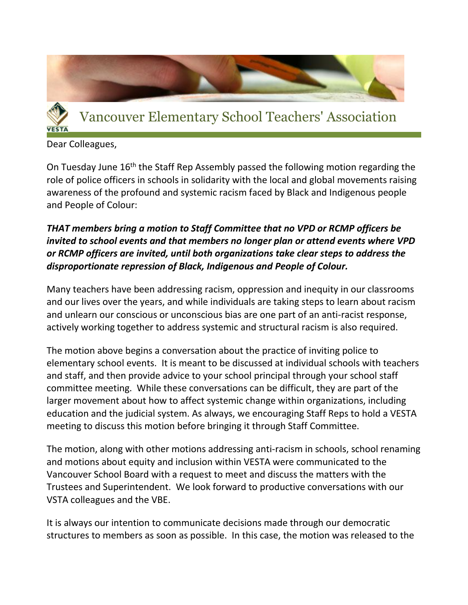

Dear Colleagues,

On Tuesday June 16<sup>th</sup> the Staff Rep Assembly passed the following motion regarding the role of police officers in schools in solidarity with the local and global movements raising awareness of the profound and systemic racism faced by Black and Indigenous people and People of Colour:

## *THAT members bring a motion to Staff Committee that no VPD or RCMP officers be invited to school events and that members no longer plan or attend events where VPD or RCMP officers are invited, until both organizations take clear steps to address the disproportionate repression of Black, Indigenous and People of Colour.*

Many teachers have been addressing racism, oppression and inequity in our classrooms and our lives over the years, and while individuals are taking steps to learn about racism and unlearn our conscious or unconscious bias are one part of an anti-racist response, actively working together to address systemic and structural racism is also required.

The motion above begins a conversation about the practice of inviting police to elementary school events. It is meant to be discussed at individual schools with teachers and staff, and then provide advice to your school principal through your school staff committee meeting. While these conversations can be difficult, they are part of the larger movement about how to affect systemic change within organizations, including education and the judicial system. As always, we encouraging Staff Reps to hold a VESTA meeting to discuss this motion before bringing it through Staff Committee.

The motion, along with other motions addressing anti-racism in schools, school renaming and motions about equity and inclusion within VESTA were communicated to the Vancouver School Board with a request to meet and discuss the matters with the Trustees and Superintendent. We look forward to productive conversations with our VSTA colleagues and the VBE.

It is always our intention to communicate decisions made through our democratic structures to members as soon as possible. In this case, the motion was released to the